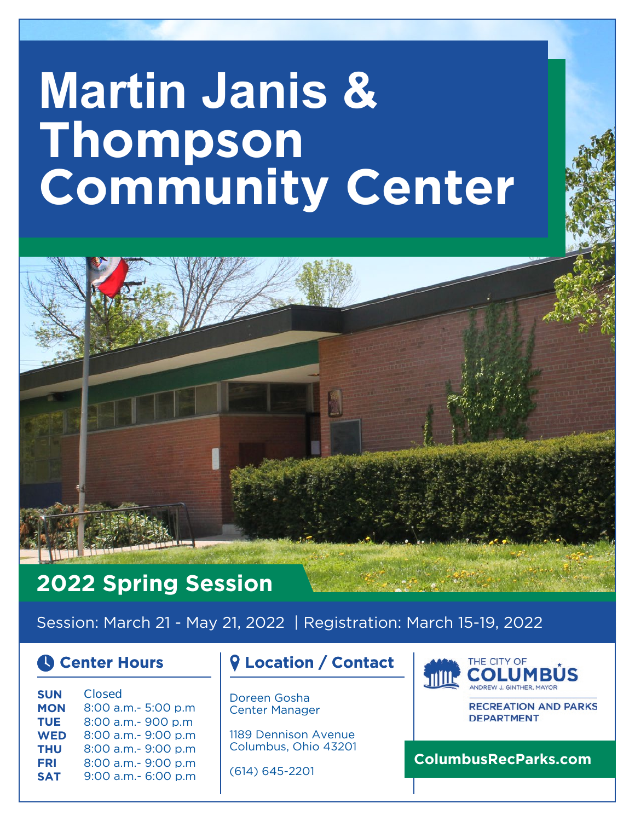# **Martin Janis & Thompson Community Center**

### **2022 Spring Session**

Session: March 21 - May 21, 2022 | Registration: March 15-19, 2022

| <b>SUN</b> | Closed              |
|------------|---------------------|
| <b>MON</b> | 8:00 a.m.- 5:00 p.m |
| <b>TUE</b> | 8:00 a.m.- 900 p.m  |
| <b>WED</b> | 8:00 a.m.- 9:00 p.m |
| <b>THU</b> | 8:00 a.m.- 9:00 p.m |
| <b>FRI</b> | 8:00 a.m.- 9:00 p.m |
| <b>SAT</b> | 9:00 a.m.- 6:00 p.m |
|            |                     |

### **Center Hours Location / Contact**

Doreen Gosha Center Manager

1189 Dennison Avenue Columbus, Ohio 43201

(614) 645-2201



**RECREATION AND PARKS DEPARTMENT** 

**ColumbusRecParks.com**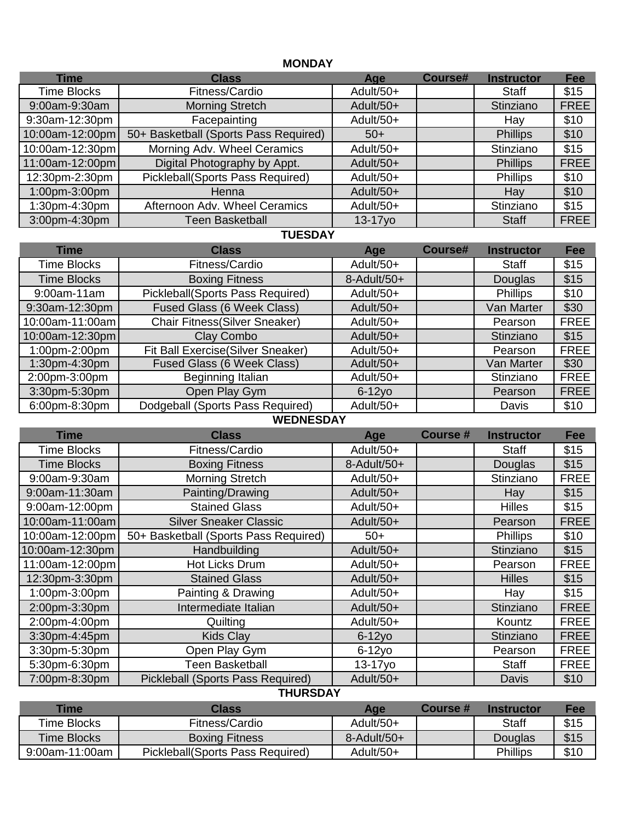#### **MONDAY**

| <b>Time</b>     | <b>Class</b>                          | Age       | Course# | <b>Instructor</b> | Fee         |
|-----------------|---------------------------------------|-----------|---------|-------------------|-------------|
| Time Blocks     | Fitness/Cardio                        | Adult/50+ |         | Staff             | \$15        |
| 9:00am-9:30am   | <b>Morning Stretch</b>                | Adult/50+ |         | Stinziano         | <b>FREE</b> |
| 9:30am-12:30pm  | Facepainting                          | Adult/50+ |         | Hay               | \$10        |
| 10:00am-12:00pm | 50+ Basketball (Sports Pass Required) | $50+$     |         | <b>Phillips</b>   | \$10        |
| 10:00am-12:30pm | Morning Adv. Wheel Ceramics           | Adult/50+ |         | Stinziano         | \$15        |
| 11:00am-12:00pm | Digital Photography by Appt.          | Adult/50+ |         | <b>Phillips</b>   | <b>FREE</b> |
| 12:30pm-2:30pm  | Pickleball(Sports Pass Required)      | Adult/50+ |         | <b>Phillips</b>   | \$10        |
| 1:00pm-3:00pm   | <b>Henna</b>                          | Adult/50+ |         | Hay               | \$10        |
| 1:30pm-4:30pm   | Afternoon Adv. Wheel Ceramics         | Adult/50+ |         | Stinziano         | \$15        |
| 3:00pm-4:30pm   | Teen Basketball                       | $13-17y0$ |         | <b>Staff</b>      | <b>FREE</b> |

#### **TUESDAY**

| Time               | <b>Class</b>                         | Age            | <b>Course#</b> | <b>Instructor</b> | <b>Fee</b>  |
|--------------------|--------------------------------------|----------------|----------------|-------------------|-------------|
| <b>Time Blocks</b> | Fitness/Cardio                       | Adult/50+      |                | <b>Staff</b>      | \$15        |
| <b>Time Blocks</b> | <b>Boxing Fitness</b>                | $8$ -Adult/50+ |                | Douglas           | \$15        |
| 9:00am-11am        | Pickleball(Sports Pass Required)     | Adult/50+      |                | <b>Phillips</b>   | \$10        |
| 9:30am-12:30pm     | Fused Glass (6 Week Class)           | Adult/50+      |                | Van Marter        | \$30        |
| 10:00am-11:00am    | <b>Chair Fitness(Silver Sneaker)</b> | Adult/50+      |                | Pearson           | <b>FREE</b> |
| 10:00am-12:30pm    | Clay Combo                           | Adult/50+      |                | Stinziano         | \$15        |
| 1:00pm-2:00pm      | Fit Ball Exercise(Silver Sneaker)    | Adult/50+      |                | Pearson           | <b>FREE</b> |
| 1:30pm-4:30pm      | Fused Glass (6 Week Class)           | Adult/50+      |                | Van Marter        | \$30        |
| 2:00pm-3:00pm      | Beginning Italian                    | Adult/50+      |                | Stinziano         | <b>FREE</b> |
| 3:30pm-5:30pm      | Open Play Gym                        | $6-12y0$       |                | Pearson           | <b>FREE</b> |
| 6:00pm-8:30pm      | Dodgeball (Sports Pass Required)     | Adult/50+      |                | Davis             | \$10        |

#### **WEDNESDAY**

| <b>Time</b>        | <b>Class</b>                             | Age         | <b>Course#</b> | <b>Instructor</b> | <b>Fee</b>  |
|--------------------|------------------------------------------|-------------|----------------|-------------------|-------------|
| <b>Time Blocks</b> | Fitness/Cardio                           | Adult/50+   |                | <b>Staff</b>      | \$15        |
| <b>Time Blocks</b> | <b>Boxing Fitness</b>                    | 8-Adult/50+ |                | Douglas           | \$15        |
| 9:00am-9:30am      | <b>Morning Stretch</b>                   | Adult/50+   |                | Stinziano         | <b>FREE</b> |
| 9:00am-11:30am     | Painting/Drawing                         | Adult/50+   |                | Hay               | \$15        |
| 9:00am-12:00pm     | <b>Stained Glass</b>                     | Adult/50+   |                | <b>Hilles</b>     | \$15        |
| 10:00am-11:00am    | <b>Silver Sneaker Classic</b>            | Adult/50+   |                | Pearson           | <b>FREE</b> |
| 10:00am-12:00pm    | 50+ Basketball (Sports Pass Required)    | $50+$       |                | <b>Phillips</b>   | \$10        |
| 10:00am-12:30pm    | Handbuilding                             | Adult/50+   |                | Stinziano         | \$15        |
| 11:00am-12:00pm    | Hot Licks Drum                           | Adult/50+   |                | Pearson           | <b>FREE</b> |
| 12:30pm-3:30pm     | <b>Stained Glass</b>                     | Adult/50+   |                | <b>Hilles</b>     | \$15        |
| 1:00pm-3:00pm      | Painting & Drawing                       | Adult/50+   |                | Hay               | \$15        |
| 2:00pm-3:30pm      | Intermediate Italian                     | Adult/50+   |                | Stinziano         | <b>FREE</b> |
| 2:00pm-4:00pm      | Quilting                                 | Adult/50+   |                | Kountz            | <b>FREE</b> |
| 3:30pm-4:45pm      | <b>Kids Clay</b>                         | $6-12y0$    |                | Stinziano         | <b>FREE</b> |
| 3:30pm-5:30pm      | Open Play Gym                            | $6-12y0$    |                | Pearson           | <b>FREE</b> |
| 5:30pm-6:30pm      | Teen Basketball                          | 13-17yo     |                | <b>Staff</b>      | <b>FREE</b> |
| 7:00pm-8:30pm      | <b>Pickleball (Sports Pass Required)</b> | Adult/50+   |                | Davis             | \$10        |

#### **THURSDAY**

| Time               | <b>Class</b>                     | Aqe             | <b>Course</b> # | <b>Instructor</b> | Fee  |
|--------------------|----------------------------------|-----------------|-----------------|-------------------|------|
| <b>Time Blocks</b> | Fitness/Cardio                   | Adult/50+       |                 | <b>Staff</b>      | \$15 |
| <b>Time Blocks</b> | <b>Boxing Fitness</b>            | $8 -$ Adult/50+ |                 | Douglas           | \$15 |
| 9:00am-11:00am     | Pickleball(Sports Pass Required) | Adult/50+       |                 | <b>Phillips</b>   | \$10 |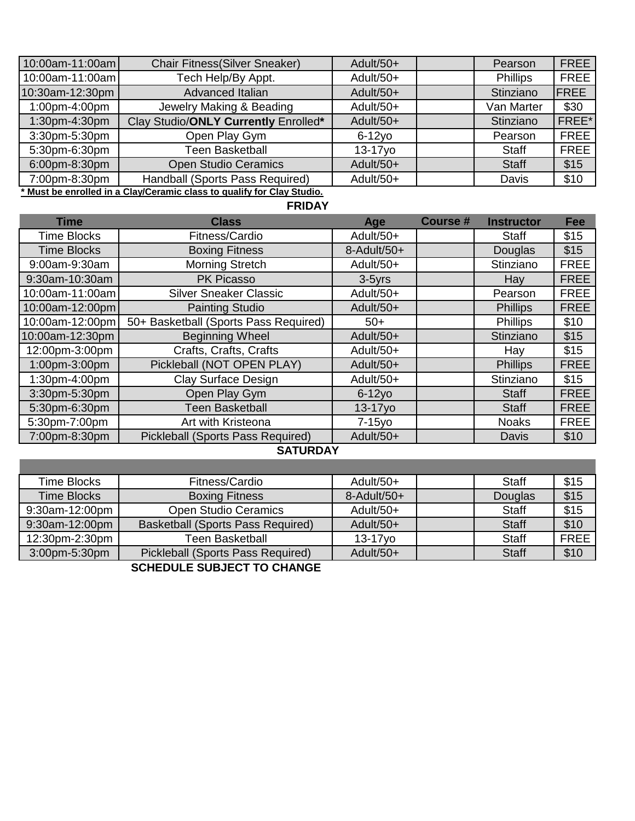| 10:00am-11:00am | <b>Chair Fitness(Silver Sneaker)</b>                                   | Adult/50+ | Pearson         | <b>FREE</b>  |
|-----------------|------------------------------------------------------------------------|-----------|-----------------|--------------|
| 10:00am-11:00am | Tech Help/By Appt.                                                     | Adult/50+ | <b>Phillips</b> | <b>FREE</b>  |
| 10:30am-12:30pm | Advanced Italian                                                       | Adult/50+ | Stinziano       | <b>IFREE</b> |
| 1:00pm-4:00pm   | Jewelry Making & Beading                                               | Adult/50+ | Van Marter      | \$30         |
| 1:30pm-4:30pm   | Clay Studio/ONLY Currently Enrolled*                                   | Adult/50+ | Stinziano       | FREE*        |
| 3:30pm-5:30pm   | Open Play Gym                                                          | $6-12$ vo | Pearson         | <b>FREE</b>  |
| 5:30pm-6:30pm   | Teen Basketball                                                        | 13-17yo   | <b>Staff</b>    | <b>FREE</b>  |
| 6:00pm-8:30pm   | <b>Open Studio Ceramics</b>                                            | Adult/50+ | <b>Staff</b>    | \$15         |
| 7:00pm-8:30pm   | Handball (Sports Pass Required)                                        | Adult/50+ | Davis           | \$10         |
|                 | * Musella annellad ha e OlandOananda alage ta mualifutan Olan Ottulla. |           |                 |              |

**\* Must be enrolled in a Clay/Ceramic class to qualify for Clay Studio.**

#### **FRIDAY**

| <b>Time</b>        | <b>Class</b>                          | Age         | <b>Course#</b> | <b>Instructor</b> | <b>Fee</b>  |
|--------------------|---------------------------------------|-------------|----------------|-------------------|-------------|
| <b>Time Blocks</b> | Fitness/Cardio                        | Adult/50+   |                | <b>Staff</b>      | \$15        |
| <b>Time Blocks</b> | <b>Boxing Fitness</b>                 | 8-Adult/50+ |                | Douglas           | \$15        |
| 9:00am-9:30am      | <b>Morning Stretch</b>                | Adult/50+   |                | Stinziano         | <b>FREE</b> |
| 9:30am-10:30am     | <b>PK Picasso</b>                     | $3-5$ yrs   |                | Hay               | <b>FREE</b> |
| 10:00am-11:00am    | <b>Silver Sneaker Classic</b>         | Adult/50+   |                | Pearson           | <b>FREE</b> |
| 10:00am-12:00pm    | <b>Painting Studio</b>                | Adult/50+   |                | <b>Phillips</b>   | <b>FREE</b> |
| 10:00am-12:00pm    | 50+ Basketball (Sports Pass Required) | $50+$       |                | <b>Phillips</b>   | \$10        |
| 10:00am-12:30pm    | <b>Beginning Wheel</b>                | Adult/50+   |                | Stinziano         | \$15        |
| 12:00pm-3:00pm     | Crafts, Crafts, Crafts                | Adult/50+   |                | Hay               | \$15        |
| 1:00pm-3:00pm      | Pickleball (NOT OPEN PLAY)            | Adult/50+   |                | <b>Phillips</b>   | <b>FREE</b> |
| 1:30pm-4:00pm      | Clay Surface Design                   | Adult/50+   |                | Stinziano         | \$15        |
| 3:30pm-5:30pm      | Open Play Gym                         | $6-12y0$    |                | <b>Staff</b>      | <b>FREE</b> |
| 5:30pm-6:30pm      | <b>Teen Basketball</b>                | $13-17y0$   |                | <b>Staff</b>      | <b>FREE</b> |
| 5:30pm-7:00pm      | Art with Kristeona                    | $7-15y0$    |                | <b>Noaks</b>      | <b>FREE</b> |
| 7:00pm-8:30pm      | Pickleball (Sports Pass Required)     | Adult/50+   |                | Davis             | \$10        |

#### **SATURDAY**

| Time Blocks        | Fitness/Cardio                           | Adult/50+      | <b>Staff</b> | \$15        |
|--------------------|------------------------------------------|----------------|--------------|-------------|
| <b>Time Blocks</b> | <b>Boxing Fitness</b>                    | $8$ -Adult/50+ | Douglas      | \$15        |
| 9:30am-12:00pm     | <b>Open Studio Ceramics</b>              | Adult/50+      | <b>Staff</b> | \$15        |
| 9:30am-12:00pm     | <b>Basketball (Sports Pass Required)</b> | Adult/50+      | <b>Staff</b> | \$10        |
| 12:30pm-2:30pm     | Teen Basketball                          | $13-17y0$      | <b>Staff</b> | <b>FREE</b> |
| 3:00pm-5:30pm      | Pickleball (Sports Pass Required)        | Adult/50+      | <b>Staff</b> | \$10        |
|                    |                                          |                |              |             |

**SCHEDULE SUBJECT TO CHANGE**